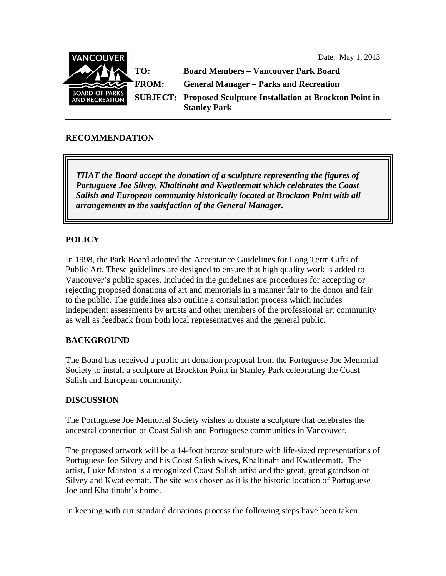Date: May 1, 2013



### **RECOMMENDATION**

*THAT the Board accept the donation of a sculpture representing the figures of Portuguese Joe Silvey, Khaltinaht and Kwatleematt which celebrates the Coast Salish and European community historically located at Brockton Point with all arrangements to the satisfaction of the General Manager.* 

## **POLICY**

In 1998, the Park Board adopted the Acceptance Guidelines for Long Term Gifts of Public Art. These guidelines are designed to ensure that high quality work is added to Vancouver's public spaces. Included in the guidelines are procedures for accepting or rejecting proposed donations of art and memorials in a manner fair to the donor and fair to the public. The guidelines also outline a consultation process which includes independent assessments by artists and other members of the professional art community as well as feedback from both local representatives and the general public.

### **BACKGROUND**

The Board has received a public art donation proposal from the Portuguese Joe Memorial Society to install a sculpture at Brockton Point in Stanley Park celebrating the Coast Salish and European community.

#### **DISCUSSION**

The Portuguese Joe Memorial Society wishes to donate a sculpture that celebrates the ancestral connection of Coast Salish and Portuguese communities in Vancouver.

The proposed artwork will be a 14-foot bronze sculpture with life-sized representations of Portuguese Joe Silvey and his Coast Salish wives, Khaltinaht and Kwatleematt. The artist, Luke Marston is a recognized Coast Salish artist and the great, great grandson of Silvey and Kwatleematt. The site was chosen as it is the historic location of Portuguese Joe and Khaltinaht's home.

In keeping with our standard donations process the following steps have been taken: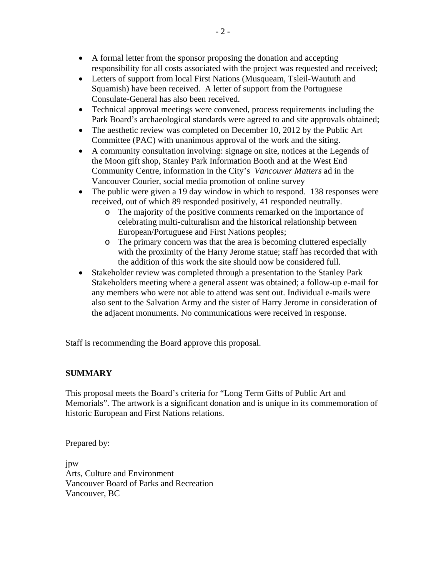- A formal letter from the sponsor proposing the donation and accepting responsibility for all costs associated with the project was requested and received;
- Letters of support from local First Nations (Musqueam, Tsleil-Waututh and Squamish) have been received. A letter of support from the Portuguese Consulate-General has also been received.
- Technical approval meetings were convened, process requirements including the Park Board's archaeological standards were agreed to and site approvals obtained;
- The aesthetic review was completed on December 10, 2012 by the Public Art Committee (PAC) with unanimous approval of the work and the siting.
- A community consultation involving: signage on site, notices at the Legends of the Moon gift shop, Stanley Park Information Booth and at the West End Community Centre, information in the City's *Vancouver Matters* ad in the Vancouver Courier, social media promotion of online survey
- The public were given a 19 day window in which to respond. 138 responses were received, out of which 89 responded positively, 41 responded neutrally.
	- o The majority of the positive comments remarked on the importance of celebrating multi-culturalism and the historical relationship between European/Portuguese and First Nations peoples;
	- o The primary concern was that the area is becoming cluttered especially with the proximity of the Harry Jerome statue; staff has recorded that with the addition of this work the site should now be considered full.
- Stakeholder review was completed through a presentation to the Stanley Park Stakeholders meeting where a general assent was obtained; a follow-up e-mail for any members who were not able to attend was sent out. Individual e-mails were also sent to the Salvation Army and the sister of Harry Jerome in consideration of the adjacent monuments. No communications were received in response.

Staff is recommending the Board approve this proposal.

# **SUMMARY**

This proposal meets the Board's criteria for "Long Term Gifts of Public Art and Memorials". The artwork is a significant donation and is unique in its commemoration of historic European and First Nations relations.

Prepared by:

jpw Arts, Culture and Environment Vancouver Board of Parks and Recreation Vancouver, BC